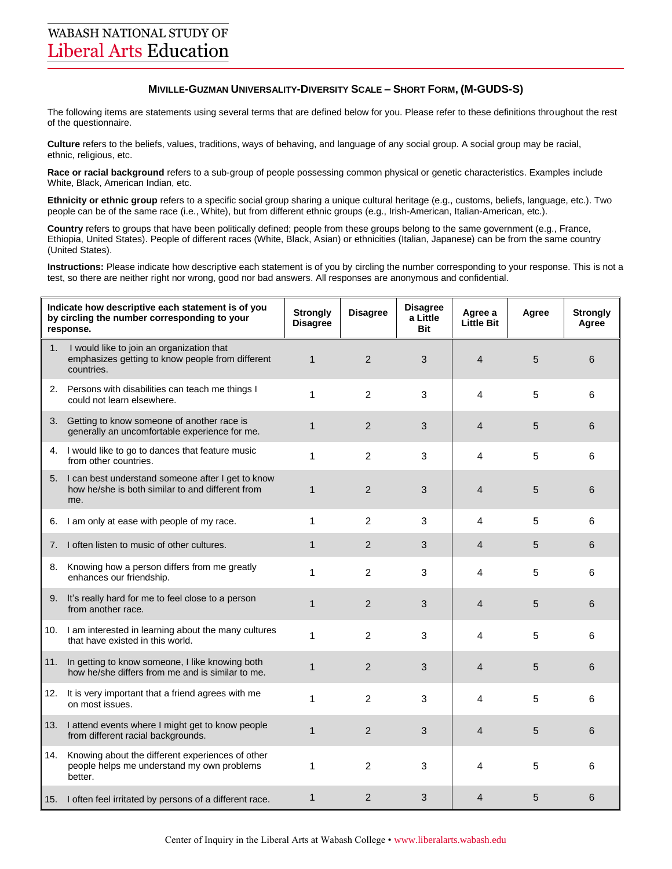## **MIVILLE-GUZMAN UNIVERSALITY-DIVERSITY SCALE – SHORT FORM, (M-GUDS-S)**

The following items are statements using several terms that are defined below for you. Please refer to these definitions throughout the rest of the questionnaire.

**Culture** refers to the beliefs, values, traditions, ways of behaving, and language of any social group. A social group may be racial, ethnic, religious, etc.

**Race or racial background** refers to a sub-group of people possessing common physical or genetic characteristics. Examples include White, Black, American Indian, etc.

**Ethnicity or ethnic group** refers to a specific social group sharing a unique cultural heritage (e.g., customs, beliefs, language, etc.). Two people can be of the same race (i.e., White), but from different ethnic groups (e.g., Irish-American, Italian-American, etc.).

**Country** refers to groups that have been politically defined; people from these groups belong to the same government (e.g., France, Ethiopia, United States). People of different races (White, Black, Asian) or ethnicities (Italian, Japanese) can be from the same country (United States).

**Instructions:** Please indicate how descriptive each statement is of you by circling the number corresponding to your response. This is not a test, so there are neither right nor wrong, good nor bad answers. All responses are anonymous and confidential.

| Indicate how descriptive each statement is of you<br>by circling the number corresponding to your<br>response. |                                                                                                                 | <b>Strongly</b><br><b>Disagree</b> | <b>Disagree</b> | <b>Disagree</b><br>a Little<br><b>Bit</b> | Agree a<br><b>Little Bit</b> | Agree | <b>Strongly</b><br>Agree |
|----------------------------------------------------------------------------------------------------------------|-----------------------------------------------------------------------------------------------------------------|------------------------------------|-----------------|-------------------------------------------|------------------------------|-------|--------------------------|
| 1.                                                                                                             | I would like to join an organization that<br>emphasizes getting to know people from different<br>countries.     | $\mathbf{1}$                       | $\overline{2}$  | 3                                         | 4                            | 5     | 6                        |
|                                                                                                                | 2. Persons with disabilities can teach me things I<br>could not learn elsewhere.                                | 1                                  | $\overline{2}$  | 3                                         | 4                            | 5     | 6                        |
|                                                                                                                | 3. Getting to know someone of another race is<br>generally an uncomfortable experience for me.                  | $\mathbf{1}$                       | $\overline{2}$  | 3                                         | $\overline{4}$               | 5     | 6                        |
|                                                                                                                | 4. I would like to go to dances that feature music<br>from other countries.                                     | 1                                  | $\overline{2}$  | 3                                         | 4                            | 5     | 6                        |
|                                                                                                                | 5. I can best understand someone after I get to know<br>how he/she is both similar to and different from<br>me. | $\mathbf{1}$                       | $\overline{2}$  | 3                                         | 4                            | 5     | 6                        |
| 6.                                                                                                             | I am only at ease with people of my race.                                                                       | 1                                  | $\mathcal{P}$   | 3                                         | 4                            | 5     | 6                        |
| 7.                                                                                                             | I often listen to music of other cultures.                                                                      | $\mathbf{1}$                       | 2               | 3                                         | 4                            | 5     | 6                        |
|                                                                                                                | 8. Knowing how a person differs from me greatly<br>enhances our friendship.                                     | 1                                  | $\overline{2}$  | 3                                         | 4                            | 5     | 6                        |
|                                                                                                                | 9. It's really hard for me to feel close to a person<br>from another race.                                      | $\mathbf{1}$                       | $\overline{2}$  | 3                                         | $\overline{4}$               | 5     | 6                        |
|                                                                                                                | 10. I am interested in learning about the many cultures<br>that have existed in this world.                     | 1                                  | $\overline{2}$  | 3                                         | 4                            | 5     | 6                        |
|                                                                                                                | 11. In getting to know someone, I like knowing both<br>how he/she differs from me and is similar to me.         | 1                                  | $\overline{2}$  | 3                                         | 4                            | 5     | 6                        |
|                                                                                                                | 12. It is very important that a friend agrees with me<br>on most issues.                                        | 1                                  | $\overline{2}$  | 3                                         | 4                            | 5     | 6                        |
| 13.                                                                                                            | I attend events where I might get to know people<br>from different racial backgrounds.                          | $\mathbf{1}$                       | $\overline{2}$  | 3                                         | 4                            | 5     | 6                        |
| 14.                                                                                                            | Knowing about the different experiences of other<br>people helps me understand my own problems<br>better.       | 1                                  | $\overline{2}$  | 3                                         | 4                            | 5     | 6                        |
|                                                                                                                | 15. I often feel irritated by persons of a different race.                                                      | $\mathbf{1}$                       | $\overline{2}$  | 3                                         | 4                            | 5     | 6                        |